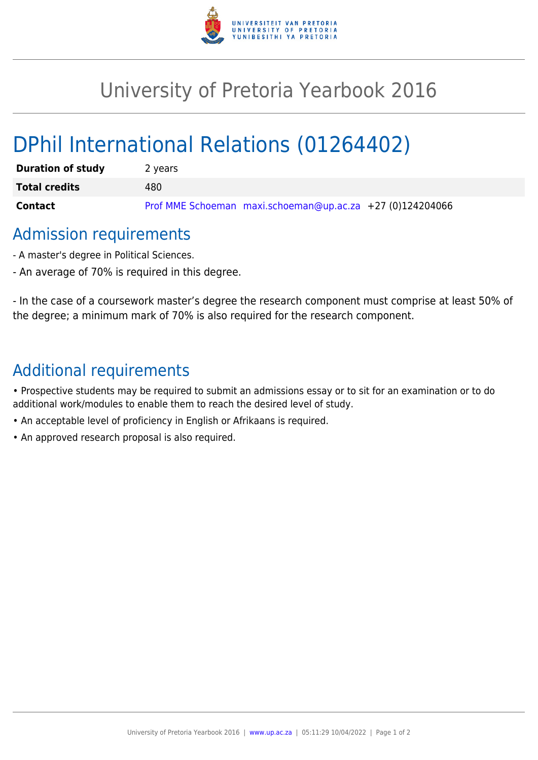

## University of Pretoria Yearbook 2016

# DPhil International Relations (01264402)

| <b>Duration of study</b> | 2 years                                                   |
|--------------------------|-----------------------------------------------------------|
| <b>Total credits</b>     | 480                                                       |
| Contact                  | Prof MME Schoeman maxi.schoeman@up.ac.za +27 (0)124204066 |

### Admission requirements

- A master's degree in Political Sciences.
- An average of 70% is required in this degree.

- In the case of a coursework master's degree the research component must comprise at least 50% of the degree; a minimum mark of 70% is also required for the research component.

## Additional requirements

• Prospective students may be required to submit an admissions essay or to sit for an examination or to do additional work/modules to enable them to reach the desired level of study.

- An acceptable level of proficiency in English or Afrikaans is required.
- An approved research proposal is also required.